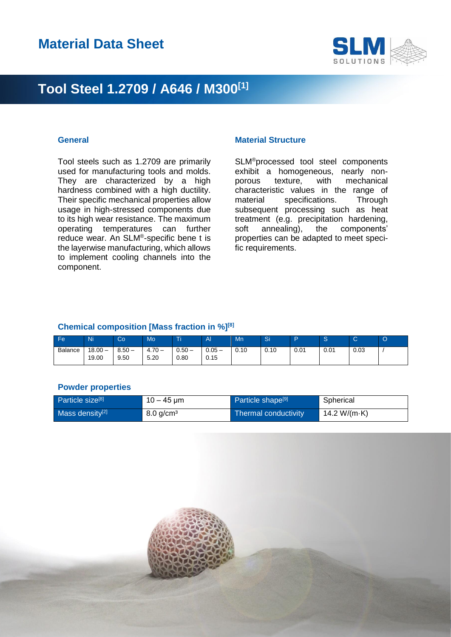

Tool steels such as 1.2709 are primarily used for manufacturing tools and molds. They are characterized by a high hardness combined with a high ductility. Their specific mechanical properties allow usage in high-stressed components due to its high wear resistance. The maximum operating temperatures can further reduce wear. An SLM® -specific bene t is the layerwise manufacturing, which allows to implement cooling channels into the component.

### **General Material Structure**

SLM®processed tool steel components exhibit a homogeneous, nearly nonporous texture, with mechanical characteristic values in the range of material specifications. Through subsequent processing such as heat treatment (e.g. precipitation hardening, soft annealing), the components' properties can be adapted to meet specific requirements.

#### **Chemical composition [Mass fraction in %][8]**

| (Fe            | Ni               | Co               | Mo             | Τi                     | $\mathbf{A}$                             | Mn   | $\bigcap$<br>்ப |      | ⌒<br>c | $\sim$<br>ັ | $\cap$<br>v |
|----------------|------------------|------------------|----------------|------------------------|------------------------------------------|------|-----------------|------|--------|-------------|-------------|
| <b>Balance</b> | 18.00 —<br>19.00 | $8.50 -$<br>9.50 | $+70-$<br>5.20 | $0.50 -$<br>__<br>0.80 | 0.05<br>$\overline{\phantom{a}}$<br>0.15 | 0.10 | 0.10            | 0.01 | 0.01   | 0.03        |             |

#### **Powder properties**

| Particle size <sup>[8]</sup> | $10 - 45 \,\mathrm{\upmu m}$ | Particle shape <sup>[9]</sup> | Spherical    |
|------------------------------|------------------------------|-------------------------------|--------------|
| Mass density <sup>[2]</sup>  | $8.0$ g/cm <sup>3</sup>      | Thermal conductivity          | 14.2 W/(m·K) |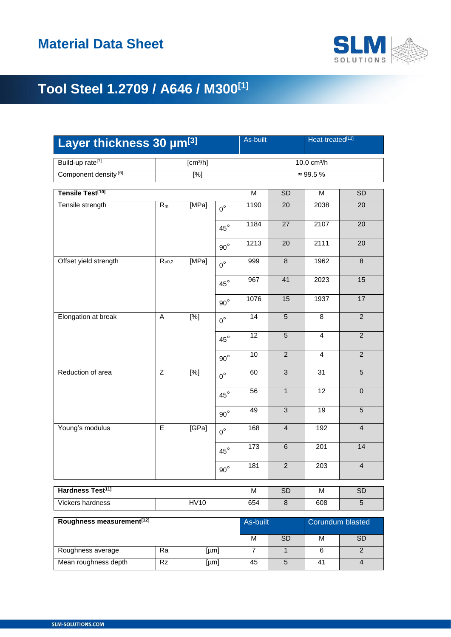

| Layer thickness 30 µm[3]              |             |                      |              |                |                              | Heat-treated[13] |                         |  |  |
|---------------------------------------|-------------|----------------------|--------------|----------------|------------------------------|------------------|-------------------------|--|--|
| Build-up rate <sup>[7]</sup>          |             | [cm <sup>3</sup> /h] |              |                | 10.0 cm <sup>3</sup> /h      |                  |                         |  |  |
| Component density <sup>[6]</sup>      |             | $\overline{[%]}$     |              |                | $\approx 99.5 \%$            |                  |                         |  |  |
| Tensile Test <sup>[10]</sup>          | M           | SD                   | M            | SD             |                              |                  |                         |  |  |
| Tensile strength                      | $R_m$       | [MPa]                | $0^{\circ}$  | 1190           | 20                           | 2038             | 20                      |  |  |
|                                       |             |                      |              | 1184           | 27                           | 2107             | 20                      |  |  |
|                                       |             |                      | $45^{\circ}$ |                |                              |                  |                         |  |  |
|                                       |             |                      | $90^{\circ}$ | 1213           | 20                           | 2111             | 20                      |  |  |
| Offset yield strength                 | $R_{p0,2}$  | [MPa]                | $0^{\circ}$  | 999            | $\,8\,$                      | 1962             | $\overline{8}$          |  |  |
|                                       |             |                      | $45^{\circ}$ | 967            | 41                           | 2023             | 15                      |  |  |
|                                       |             |                      | $90^{\circ}$ | 1076           | 15                           | 1937             | 17                      |  |  |
| Elongation at break                   | A           | [%]                  | $0^{\circ}$  | 14             | $\overline{5}$               | 8                | $\overline{2}$          |  |  |
|                                       |             |                      | $45^{\circ}$ | 12             | $5\phantom{.}$               | 4                | $\overline{2}$          |  |  |
|                                       |             |                      | $90^{\circ}$ | $10$           | $\overline{2}$               | $\overline{4}$   | $\overline{2}$          |  |  |
| Reduction of area                     | $\mathsf Z$ | [%]                  | $0^{\circ}$  | 60             | $\overline{3}$               | 31               | $\overline{5}$          |  |  |
|                                       |             |                      | $45^{\circ}$ | 56             | $\mathbf{1}$                 | $\overline{12}$  | $\pmb{0}$               |  |  |
|                                       |             |                      | $90^{\circ}$ | 49             | $\mathbf{3}$                 | 19               | 5                       |  |  |
| Young's modulus                       | $\mathsf E$ | [GPa]                | $0^{\circ}$  | 168            | $\overline{4}$               | 192              | $\overline{\mathbf{4}}$ |  |  |
|                                       |             |                      | $45^{\circ}$ | 173            | $\overline{6}$               | 201              | 14                      |  |  |
|                                       |             |                      | $90^{\circ}$ | 181            | $\overline{2}$               | 203              | $\overline{4}$          |  |  |
| Hardness Test <sup>11]</sup>          |             |                      |              |                | <b>SD</b>                    | M                | <b>SD</b>               |  |  |
| <b>Vickers hardness</b>               |             | <b>HV10</b>          |              | 654            | $\,8\,$                      | 608              | $\overline{5}$          |  |  |
| Roughness measurement <sup>[12]</sup> |             |                      |              |                | As-built<br>Corundum blasted |                  |                         |  |  |
|                                       |             |                      |              | M              | SD                           | M                | SD                      |  |  |
| Roughness average                     | Ra          | [µm]                 |              | $\overline{7}$ | $\mathbf{1}$                 | $\,6$            | $\overline{a}$          |  |  |

Mean roughness depth Rz [µm] 45 5 41 4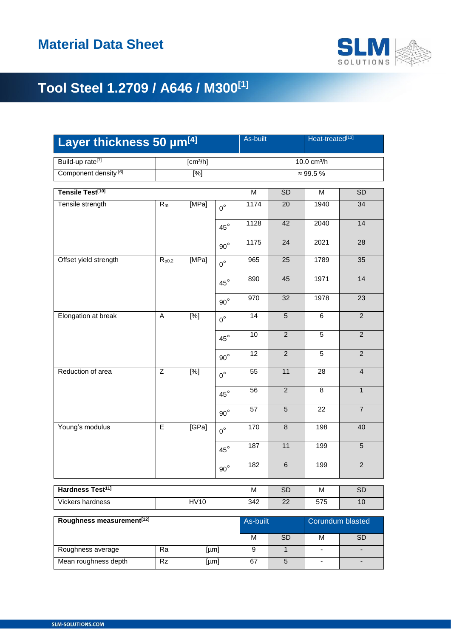

| Layer thickness 50 µm[4]              |                      |       |              | As-built<br>Heat-treated[13] |                              |                |                         |
|---------------------------------------|----------------------|-------|--------------|------------------------------|------------------------------|----------------|-------------------------|
| Build-up rate <sup>[7]</sup>          | [cm <sup>3</sup> /h] |       |              | 10.0 cm <sup>3</sup> /h      |                              |                |                         |
| Component density <sup>[6]</sup>      | $\overline{[%]}$     |       |              | $\approx 99.5 \%$            |                              |                |                         |
| Tensile Test <sup>[10]</sup>          |                      |       |              | M                            | <b>SD</b>                    | M              | SD                      |
| Tensile strength                      | $R_m$                | [MPa] | $0^{\circ}$  | 1174                         | 20                           | 1940           | 34                      |
|                                       |                      |       | $45^{\circ}$ | 1128                         | 42                           | 2040           | 14                      |
|                                       |                      |       | $90^{\circ}$ | 1175                         | 24                           | 2021           | 28                      |
| Offset yield strength                 | $R_{p0,2}$           | [MPa] | $0^{\circ}$  | 965                          | 25                           | 1789           | 35                      |
|                                       |                      |       | $45^{\circ}$ | 890                          | 45                           | 1971           | 14                      |
|                                       |                      |       | $90^{\circ}$ | 970                          | 32                           | 1978           | $\overline{23}$         |
| Elongation at break                   | A                    | [%]   | $0^{\circ}$  | 14                           | 5                            | 6              | $\overline{2}$          |
|                                       |                      |       | $45^{\circ}$ | 10                           | $\overline{2}$               | 5              | $\overline{2}$          |
|                                       |                      |       | $90^{\circ}$ | 12                           | $\overline{2}$               | $\overline{5}$ | $\overline{2}$          |
| Reduction of area                     | Z                    | [%]   | $0^{\circ}$  | 55                           | 11                           | 28             | $\overline{\mathbf{4}}$ |
|                                       |                      |       | $45^{\circ}$ | 56                           | $\overline{2}$               | 8              | $\mathbf{1}$            |
|                                       |                      |       | $90^{\circ}$ | 57                           | $\overline{5}$               | 22             | $\overline{7}$          |
| Young's modulus                       | $\mathsf E$          | [GPa] | $0^{\circ}$  | 170                          | $\,8\,$                      | 198            | 40                      |
|                                       |                      |       | $45^{\circ}$ | 187                          | 11                           | 199            | $\overline{5}$          |
|                                       |                      |       | $90^{\circ}$ | 182                          | $\,6$                        | 199            | $\overline{2}$          |
| Hardness Test <sup>11]</sup>          | M                    | SD    | M            | <b>SD</b>                    |                              |                |                         |
| <b>HV10</b><br>Vickers hardness       |                      |       |              |                              | 22                           | 575            | 10                      |
| Roughness measurement <sup>[12]</sup> |                      |       |              |                              | As-built<br>Corundum blasted |                |                         |
|                                       |                      |       |              | M                            | SD                           | M              | <b>SD</b>               |
| Roughness average                     | Ra                   | [µm]  |              | 9                            | $\mathbf{1}$                 |                |                         |
| Mean roughness depth                  | Rz                   | [µm]  |              | 67                           | 5                            |                |                         |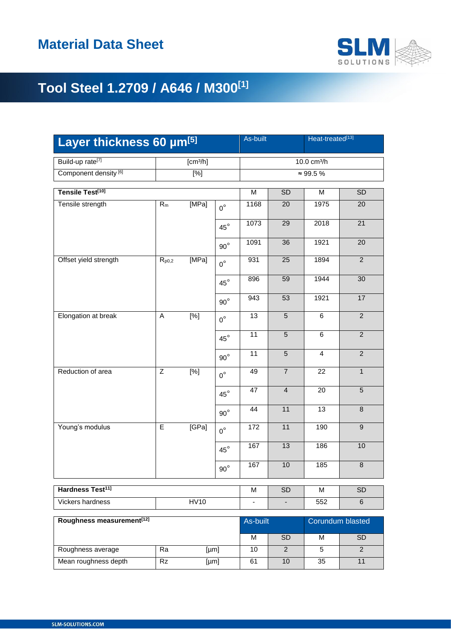

| Layer thickness 60 µm[5]               |                 |                      | As-built<br>Heat-treated[13] |          |                         |                  |                 |  |  |
|----------------------------------------|-----------------|----------------------|------------------------------|----------|-------------------------|------------------|-----------------|--|--|
| Build-up rate <sup>[7]</sup>           |                 | [cm <sup>3</sup> /h] |                              |          | 10.0 cm <sup>3</sup> /h |                  |                 |  |  |
| Component density <sup>[6]</sup>       |                 | [%]                  |                              |          | $\approx 99.5 \%$       |                  |                 |  |  |
| Tensile Test <sup>[10]</sup>           |                 |                      |                              | M        | SD                      | M                | <b>SD</b>       |  |  |
| Tensile strength                       | $R_m$           | [MPa]                | $0^{\circ}$                  | 1168     | 20                      | 1975             | 20              |  |  |
|                                        |                 |                      | $45^{\circ}$                 | 1073     | 29                      | 2018             | $\overline{21}$ |  |  |
|                                        |                 |                      | $90^{\circ}$                 | 1091     | 36                      | 1921             | 20              |  |  |
| Offset yield strength                  | $R_{p0,2}$      | [MPa]                | $0^{\circ}$                  | 931      | 25                      | 1894             | $\overline{2}$  |  |  |
|                                        |                 |                      | $45^{\circ}$                 | 896      | 59                      | 1944             | 30              |  |  |
|                                        |                 |                      | $90^{\circ}$                 | 943      | 53                      | 1921             | 17              |  |  |
| Elongation at break                    | A               | $\overline{[}^{\%}]$ | $0^{\circ}$                  | 13       | $5\phantom{1}$          | 6                | $\overline{2}$  |  |  |
|                                        |                 |                      | $45^{\circ}$                 | 11       | $5\phantom{.0}$         | 6                | $\overline{2}$  |  |  |
|                                        |                 |                      | $90^{\circ}$                 | 11       | $\overline{5}$          | $\overline{4}$   | $\overline{2}$  |  |  |
| Reduction of area                      | Z               | [%]                  | $0^{\circ}$                  | 49       | $\overline{7}$          | 22               | $\mathbf{1}$    |  |  |
|                                        |                 |                      | $45^{\circ}$                 | 47       | $\overline{4}$          | 20               | $\overline{5}$  |  |  |
|                                        |                 |                      | $90^{\circ}$                 | 44       | 11                      | 13               | $\bf 8$         |  |  |
| Young's modulus                        | $\mathsf E$     | [GPa]                | $0^{\circ}$                  | 172      | 11                      | 190              | $\mathsf g$     |  |  |
|                                        |                 |                      | $45^{\circ}$                 | 167      | 13                      | 186              | 10              |  |  |
|                                        |                 |                      | $90^{\circ}$                 | 167      | 10                      | 185              | $\overline{8}$  |  |  |
| Hardness Test <sup>11</sup>            |                 |                      |                              |          | <b>SD</b>               | M                | <b>SD</b>       |  |  |
| <b>HV10</b><br><b>Vickers hardness</b> |                 |                      |                              |          | $\blacksquare$          | 552              | 6               |  |  |
| Roughness measurement <sup>[12]</sup>  |                 |                      |                              | As-built |                         | Corundum blasted |                 |  |  |
|                                        |                 |                      |                              | M        | <b>SD</b>               | M                | <b>SD</b>       |  |  |
| Roughness average                      | Ra              |                      | [µm]                         | 10       | 2                       | 5                | $\overline{2}$  |  |  |
| Mean roughness depth                   | $\overline{R}z$ | [µm]                 |                              | 61       | 10                      | 35               | 11              |  |  |